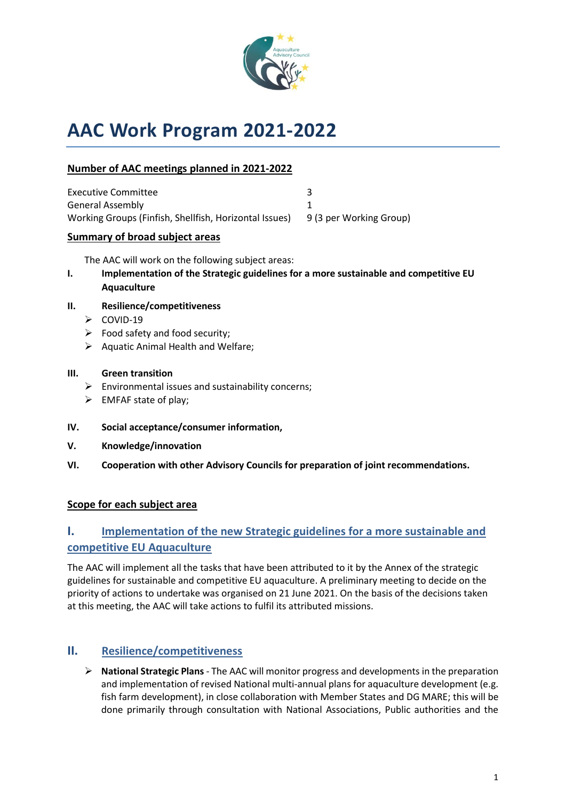

# **AAC Work Program 2021-2022**

## **Number of AAC meetings planned in 2021-2022**

| Executive Committee                                    |                         |
|--------------------------------------------------------|-------------------------|
| <b>General Assembly</b>                                |                         |
| Working Groups (Finfish, Shellfish, Horizontal Issues) | 9 (3 per Working Group) |

#### **Summary of broad subject areas**

The AAC will work on the following subject areas:

**I. Implementation of the Strategic guidelines for a more sustainable and competitive EU Aquaculture**

#### **II. Resilience/competitiveness**

- ➢ COVID-19
- $\triangleright$  Food safety and food security;
- ➢ Aquatic Animal Health and Welfare;

#### **III. Green transition**

- $\triangleright$  Environmental issues and sustainability concerns;
- $\triangleright$  EMFAF state of play;
- **IV. Social acceptance/consumer information,**
- **V. Knowledge/innovation**
- **VI. Cooperation with other Advisory Councils for preparation of joint recommendations.**

#### **Scope for each subject area**

# **I. Implementation of the new Strategic guidelines for a more sustainable and competitive EU Aquaculture**

The AAC will implement all the tasks that have been attributed to it by the Annex of the strategic guidelines for sustainable and competitive EU aquaculture. A preliminary meeting to decide on the priority of actions to undertake was organised on 21 June 2021. On the basis of the decisions taken at this meeting, the AAC will take actions to fulfil its attributed missions.

## **II. Resilience/competitiveness**

➢ **National Strategic Plans** - The AAC will monitor progress and developments in the preparation and implementation of revised National multi-annual plans for aquaculture development (e.g. fish farm development), in close collaboration with Member States and DG MARE; this will be done primarily through consultation with National Associations, Public authorities and the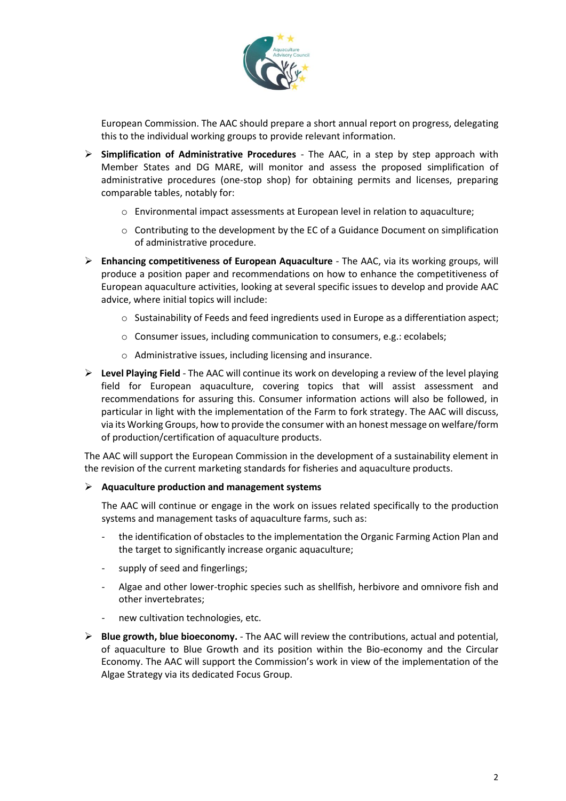

European Commission. The AAC should prepare a short annual report on progress, delegating this to the individual working groups to provide relevant information.

- ➢ **Simplification of Administrative Procedures** The AAC, in a step by step approach with Member States and DG MARE, will monitor and assess the proposed simplification of administrative procedures (one-stop shop) for obtaining permits and licenses, preparing comparable tables, notably for:
	- $\circ$  Environmental impact assessments at European level in relation to aquaculture;
	- $\circ$  Contributing to the development by the EC of a Guidance Document on simplification of administrative procedure.
- ➢ **Enhancing competitiveness of European Aquaculture** The AAC, via its working groups, will produce a position paper and recommendations on how to enhance the competitiveness of European aquaculture activities, looking at several specific issues to develop and provide AAC advice, where initial topics will include:
	- $\circ$  Sustainability of Feeds and feed ingredients used in Europe as a differentiation aspect;
	- o Consumer issues, including communication to consumers, e.g.: ecolabels;
	- o Administrative issues, including licensing and insurance.
- ➢ **Level Playing Field** The AAC will continue its work on developing a review of the level playing field for European aquaculture, covering topics that will assist assessment and recommendations for assuring this. Consumer information actions will also be followed, in particular in light with the implementation of the Farm to fork strategy. The AAC will discuss, via its Working Groups, how to provide the consumer with an honest message on welfare/form of production/certification of aquaculture products.

The AAC will support the European Commission in the development of a sustainability element in the revision of the current marketing standards for fisheries and aquaculture products.

#### ➢ **Aquaculture production and management systems**

The AAC will continue or engage in the work on issues related specifically to the production systems and management tasks of aquaculture farms, such as:

- the identification of obstacles to the implementation the Organic Farming Action Plan and the target to significantly increase organic aquaculture;
- supply of seed and fingerlings;
- Algae and other lower-trophic species such as shellfish, herbivore and omnivore fish and other invertebrates;
- new cultivation technologies, etc.
- ➢ **Blue growth, blue bioeconomy.** The AAC will review the contributions, actual and potential, of aquaculture to Blue Growth and its position within the Bio-economy and the Circular Economy. The AAC will support the Commission's work in view of the implementation of the Algae Strategy via its dedicated Focus Group.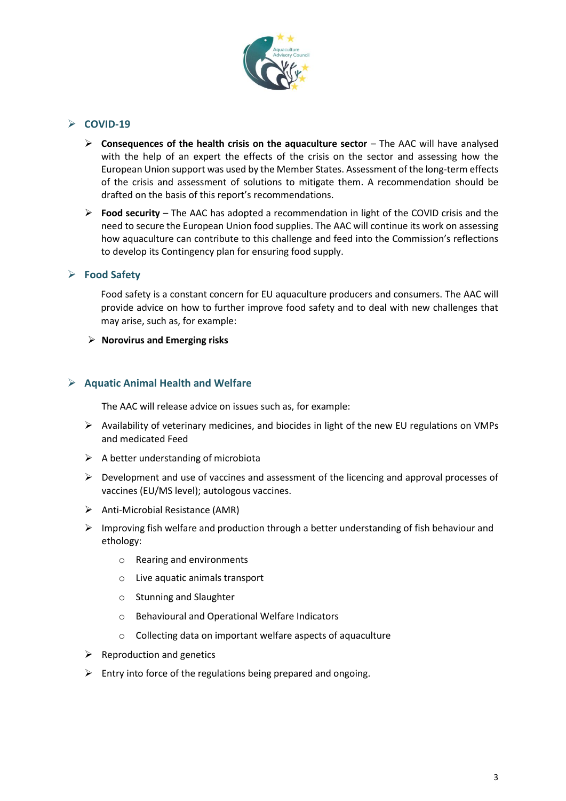

#### ➢ **COVID-19**

- ➢ **Consequences of the health crisis on the aquaculture sector** The AAC will have analysed with the help of an expert the effects of the crisis on the sector and assessing how the European Union support was used by the Member States. Assessment of the long-term effects of the crisis and assessment of solutions to mitigate them. A recommendation should be drafted on the basis of this report's recommendations.
- ➢ **Food security**  The AAC has adopted a recommendation in light of the COVID crisis and the need to secure the European Union food supplies. The AAC will continue its work on assessing how aquaculture can contribute to this challenge and feed into the Commission's reflections to develop its Contingency plan for ensuring food supply.

#### ➢ **Food Safety**

Food safety is a constant concern for EU aquaculture producers and consumers. The AAC will provide advice on how to further improve food safety and to deal with new challenges that may arise, such as, for example:

#### ➢ **Norovirus and Emerging risks**

#### ➢ **Aquatic Animal Health and Welfare**

The AAC will release advice on issues such as, for example:

- ➢ Availability of veterinary medicines, and biocides in light of the new EU regulations on VMPs and medicated Feed
- $\triangleright$  A better understanding of microbiota
- $\triangleright$  Development and use of vaccines and assessment of the licencing and approval processes of vaccines (EU/MS level); autologous vaccines.
- ➢ Anti-Microbial Resistance (AMR)
- $\triangleright$  Improving fish welfare and production through a better understanding of fish behaviour and ethology:
	- o Rearing and environments
	- o Live aquatic animals transport
	- o Stunning and Slaughter
	- o Behavioural and Operational Welfare Indicators
	- o Collecting data on important welfare aspects of aquaculture
- $\triangleright$  Reproduction and genetics
- $\triangleright$  Entry into force of the regulations being prepared and ongoing.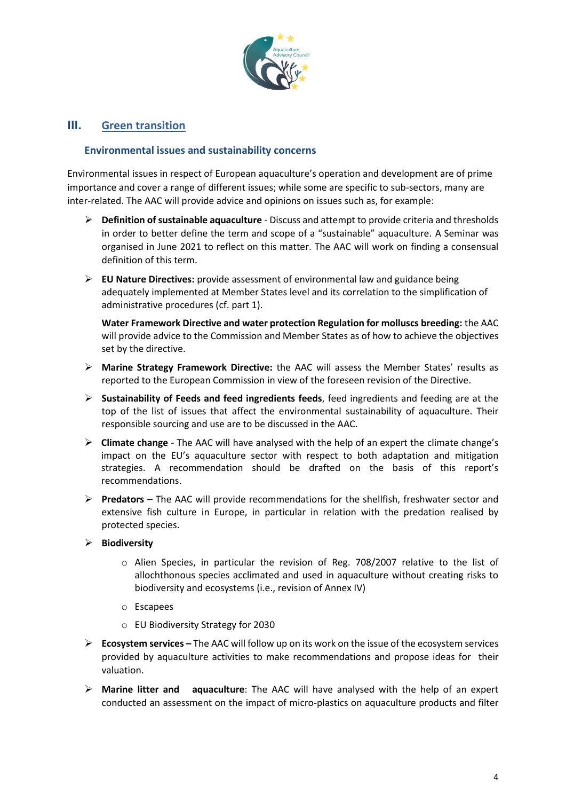

#### **III. Green transition**

#### **Environmental issues and sustainability concerns**

Environmental issues in respect of European aquaculture's operation and development are of prime importance and cover a range of different issues; while some are specific to sub-sectors, many are inter-related. The AAC will provide advice and opinions on issues such as, for example:

- ➢ **Definition of sustainable aquaculture** Discuss and attempt to provide criteria and thresholds in order to better define the term and scope of a "sustainable" aquaculture. A Seminar was organised in June 2021 to reflect on this matter. The AAC will work on finding a consensual definition of this term.
- ➢ **EU Nature Directives:** provide assessment of environmental law and guidance being adequately implemented at Member States level and its correlation to the simplification of administrative procedures (cf. part 1).

**Water Framework Directive and water protection Regulation for molluscs breeding:** the AAC will provide advice to the Commission and Member States as of how to achieve the objectives set by the directive.

- ➢ **Marine Strategy Framework Directive:** the AAC will assess the Member States' results as reported to the European Commission in view of the foreseen revision of the Directive.
- ➢ **Sustainability of Feeds and feed ingredients feeds**, feed ingredients and feeding are at the top of the list of issues that affect the environmental sustainability of aquaculture. Their responsible sourcing and use are to be discussed in the AAC.
- ➢ **Climate change** The AAC will have analysed with the help of an expert the climate change's impact on the EU's aquaculture sector with respect to both adaptation and mitigation strategies. A recommendation should be drafted on the basis of this report's recommendations.
- ➢ **Predators** The AAC will provide recommendations for the shellfish, freshwater sector and extensive fish culture in Europe, in particular in relation with the predation realised by protected species.

#### ➢ **Biodiversity**

- o Alien Species, in particular the revision of Reg. 708/2007 relative to the list of allochthonous species acclimated and used in aquaculture without creating risks to biodiversity and ecosystems (i.e., revision of Annex IV)
- o Escapees
- o EU Biodiversity Strategy for 2030
- ➢ **Ecosystem services –** The AAC will follow up on its work on the issue of the ecosystem services provided by aquaculture activities to make recommendations and propose ideas for their valuation.
- ➢ **Marine litter and aquaculture**: The AAC will have analysed with the help of an expert conducted an assessment on the impact of micro-plastics on aquaculture products and filter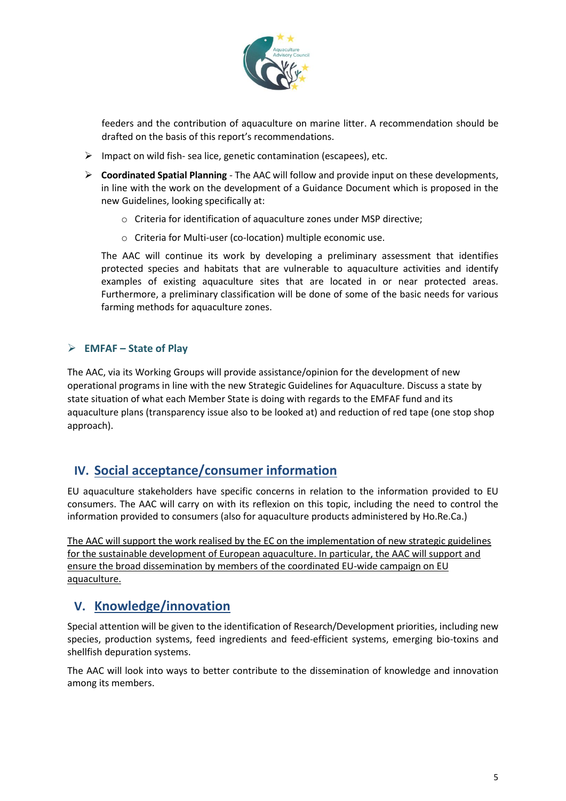

feeders and the contribution of aquaculture on marine litter. A recommendation should be drafted on the basis of this report's recommendations.

- ➢ Impact on wild fish- sea lice, genetic contamination (escapees), etc.
- ➢ **Coordinated Spatial Planning** The AAC will follow and provide input on these developments, in line with the work on the development of a Guidance Document which is proposed in the new Guidelines, looking specifically at:
	- o Criteria for identification of aquaculture zones under MSP directive;
	- o Criteria for Multi-user (co-location) multiple economic use.

The AAC will continue its work by developing a preliminary assessment that identifies protected species and habitats that are vulnerable to aquaculture activities and identify examples of existing aquaculture sites that are located in or near protected areas. Furthermore, a preliminary classification will be done of some of the basic needs for various farming methods for aquaculture zones.

### ➢ **EMFAF – State of Play**

The AAC, via its Working Groups will provide assistance/opinion for the development of new operational programs in line with the new Strategic Guidelines for Aquaculture. Discuss a state by state situation of what each Member State is doing with regards to the EMFAF fund and its aquaculture plans (transparency issue also to be looked at) and reduction of red tape (one stop shop approach).

# **IV. Social acceptance/consumer information**

EU aquaculture stakeholders have specific concerns in relation to the information provided to EU consumers. The AAC will carry on with its reflexion on this topic, including the need to control the information provided to consumers (also for aquaculture products administered by Ho.Re.Ca.)

The AAC will support the work realised by the EC on the implementation of new strategic guidelines for the sustainable development of European aquaculture. In particular, the AAC will support and ensure the broad dissemination by members of the coordinated EU-wide campaign on EU aquaculture.

## **V. Knowledge/innovation**

Special attention will be given to the identification of Research/Development priorities, including new species, production systems, feed ingredients and feed-efficient systems, emerging bio-toxins and shellfish depuration systems.

The AAC will look into ways to better contribute to the dissemination of knowledge and innovation among its members.